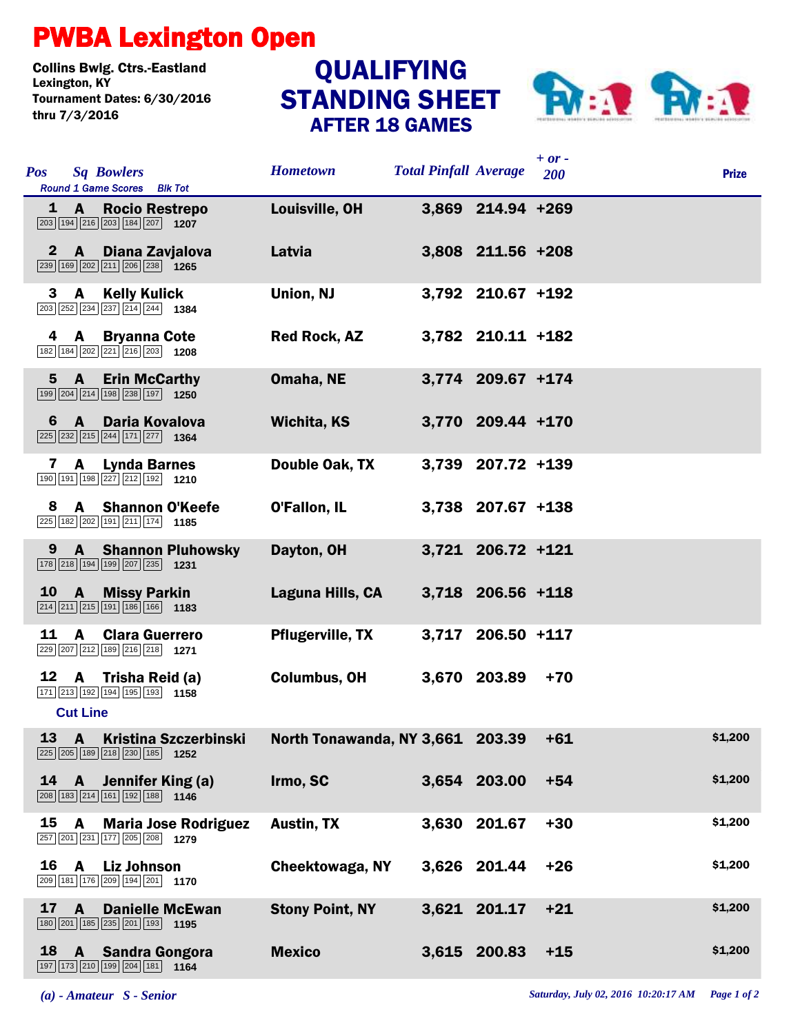## PWBA Lexington Open

Collins Bwlg. Ctrs.-Eastland Lexington, KY QUALIFYING Tournament Dates: 6/30/2016 thru 7/3/2016

## STANDING SHEET AFTER 18 GAMES



| <b>Pos</b>   | <b>Sq Bowlers</b><br>Round 1 Game Scores Blk Tot                                                                                         | <b>Hometown</b>                      | <b>Total Pinfall Average</b> |                   | $+ or -$<br>200 | <b>Prize</b> |
|--------------|------------------------------------------------------------------------------------------------------------------------------------------|--------------------------------------|------------------------------|-------------------|-----------------|--------------|
|              | <b>Rocio Restrepo</b><br>$1 \, A$<br>$\boxed{203}$ 194 216 203 184 207 1207                                                              | Louisville, OH                       |                              | 3,869 214.94 +269 |                 |              |
| $\mathbf{2}$ | $\mathbf{A}$<br>Diana Zavjalova<br>$\boxed{239}$ 169 $\boxed{202}$ $\boxed{211}$ $\boxed{206}$ $\boxed{238}$ 1265                        | Latvia                               |                              | 3,808 211.56 +208 |                 |              |
| 3            | $\overline{A}$<br><b>Kelly Kulick</b><br>203 252 234 237 214 244 1384                                                                    | <b>Union, NJ</b>                     |                              | 3,792 210.67 +192 |                 |              |
| 4            | <b>Bryanna Cote</b><br>A<br>182 184 202 221 216 203 1208                                                                                 | <b>Red Rock, AZ</b>                  |                              | 3,782 210.11 +182 |                 |              |
|              | 5A<br><b>Erin McCarthy</b><br>$\boxed{199}$ $\boxed{204}$ $\boxed{214}$ $\boxed{198}$ $\boxed{238}$ $\boxed{197}$ <b>1250</b>            | Omaha, NE                            |                              | 3,774 209.67 +174 |                 |              |
| 6            | A Daria Kovalova<br>$\sqrt{225}$ $\sqrt{232}$ $\sqrt{215}$ $\sqrt{244}$ $\sqrt{171}$ $\sqrt{277}$ 1364                                   | Wichita, KS                          |                              | 3,770 209.44 +170 |                 |              |
| $\mathbf{7}$ | A<br><b>Lynda Barnes</b><br>190 191 198 227 212 192 1210                                                                                 | Double Oak, TX                       |                              | 3,739 207.72 +139 |                 |              |
| 8            | <b>A</b> Shannon O'Keefe<br>225 182 202 191 211 174 1185                                                                                 | <b>O'Fallon, IL</b>                  |                              | 3,738 207.67 +138 |                 |              |
| 9            | <b>A</b> Shannon Pluhowsky<br>178 218 194 199 207 235 1231                                                                               | Dayton, OH                           |                              | 3,721 206.72 +121 |                 |              |
| 10           | $\overline{A}$<br><b>Missy Parkin</b><br>$\boxed{214}$ $\boxed{211}$ $\boxed{215}$ $\boxed{191}$ $\boxed{186}$ $\boxed{166}$ <b>1183</b> | Laguna Hills, CA                     |                              | 3,718 206.56 +118 |                 |              |
| 11           | <b>Clara Guerrero</b><br>A<br>229 207 212 189 216 218 1271                                                                               | <b>Pflugerville, TX</b>              |                              | 3,717 206.50 +117 |                 |              |
|              | 12 A Trisha Reid (a)<br>171 213 192 194 195 193 1158<br><b>Cut Line</b>                                                                  | <b>Columbus, OH</b>                  |                              | 3,670 203.89      | $+70$           |              |
|              | $13 \quad A$<br><b>Kristina Szczerbinski</b><br>225 205 189 218 230 185 1252                                                             | North Tonawanda, NY 3,661 203.39 +61 |                              |                   |                 | \$1,200      |
| 14           | A Jennifer King (a)<br>208 183 214 161 192 188 1146                                                                                      | Irmo, SC                             |                              | 3.654 203.00      | $+54$           | \$1,200      |
| 15           | <b>Maria Jose Rodriguez</b><br>A<br>257 201 231 177 205 208 1279                                                                         | <b>Austin, TX</b>                    |                              | 3,630 201.67      | $+30$           | \$1,200      |
| 16           | A<br><b>Liz Johnson</b><br>209 181 176 209 194 201 1170                                                                                  | Cheektowaga, NY                      |                              | 3,626 201.44      | $+26$           | \$1,200      |
| 17           | <b>Danielle McEwan</b><br>A<br>180 201 185 235 201 193 1195                                                                              | <b>Stony Point, NY</b>               |                              | 3,621 201.17      | $+21$           | \$1,200      |
|              | 18 A Sandra Gongora<br>197 173 210 199 204 181 164                                                                                       | <b>Mexico</b>                        |                              | 3,615 200.83      | $+15$           | \$1,200      |